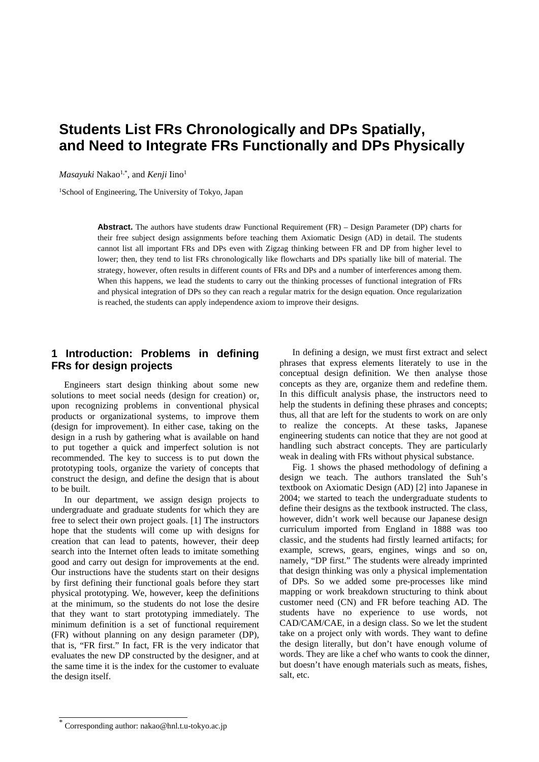# **Students List FRs Chronologically and DPs Spatially, and Need to Integrate FRs Functionally and DPs Physically**

*Masayuki* Nakao<sup>1,\*</sup>, and *Kenji* Iino<sup>1</sup>

1School of Engineering, The University of Tokyo, Japan

**Abstract.** The authors have students draw Functional Requirement (FR) – Design Parameter (DP) charts for their free subject design assignments before teaching them Axiomatic Design (AD) in detail. The students cannot list all important FRs and DPs even with Zigzag thinking between FR and DP from higher level to lower; then, they tend to list FRs chronologically like flowcharts and DPs spatially like bill of material. The strategy, however, often results in different counts of FRs and DPs and a number of interferences among them. When this happens, we lead the students to carry out the thinking processes of functional integration of FRs and physical integration of DPs so they can reach a regular matrix for the design equation. Once regularization is reached, the students can apply independence axiom to improve their designs.

# **1 Introduction: Problems in defining FRs for design projects**

Engineers start design thinking about some new solutions to meet social needs (design for creation) or, upon recognizing problems in conventional physical products or organizational systems, to improve them (design for improvement). In either case, taking on the design in a rush by gathering what is available on hand to put together a quick and imperfect solution is not recommended. The key to success is to put down the prototyping tools, organize the variety of concepts that construct the design, and define the design that is about to be built.

In our department, we assign design projects to undergraduate and graduate students for which they are free to select their own project goals. [1] The instructors hope that the students will come up with designs for creation that can lead to patents, however, their deep search into the Internet often leads to imitate something good and carry out design for improvements at the end. Our instructions have the students start on their designs by first defining their functional goals before they start physical prototyping. We, however, keep the definitions at the minimum, so the students do not lose the desire that they want to start prototyping immediately. The minimum definition is a set of functional requirement (FR) without planning on any design parameter (DP), that is, "FR first." In fact, FR is the very indicator that evaluates the new DP constructed by the designer, and at the same time it is the index for the customer to evaluate the design itself.

In defining a design, we must first extract and select phrases that express elements literately to use in the conceptual design definition. We then analyse those concepts as they are, organize them and redefine them. In this difficult analysis phase, the instructors need to help the students in defining these phrases and concepts; thus, all that are left for the students to work on are only to realize the concepts. At these tasks, Japanese engineering students can notice that they are not good at handling such abstract concepts. They are particularly weak in dealing with FRs without physical substance.

Fig. 1 shows the phased methodology of defining a design we teach. The authors translated the Suh's textbook on Axiomatic Design (AD) [2] into Japanese in 2004; we started to teach the undergraduate students to define their designs as the textbook instructed. The class, however, didn't work well because our Japanese design curriculum imported from England in 1888 was too classic, and the students had firstly learned artifacts; for example, screws, gears, engines, wings and so on, namely, "DP first." The students were already imprinted that design thinking was only a physical implementation of DPs. So we added some pre-processes like mind mapping or work breakdown structuring to think about customer need (CN) and FR before teaching AD. The students have no experience to use words, not CAD/CAM/CAE, in a design class. So we let the student take on a project only with words. They want to define the design literally, but don't have enough volume of words. They are like a chef who wants to cook the dinner, but doesn't have enough materials such as meats, fishes, salt, etc.

<sup>\*</sup> Corresponding author: nakao@hnl.t.u-tokyo.ac.jp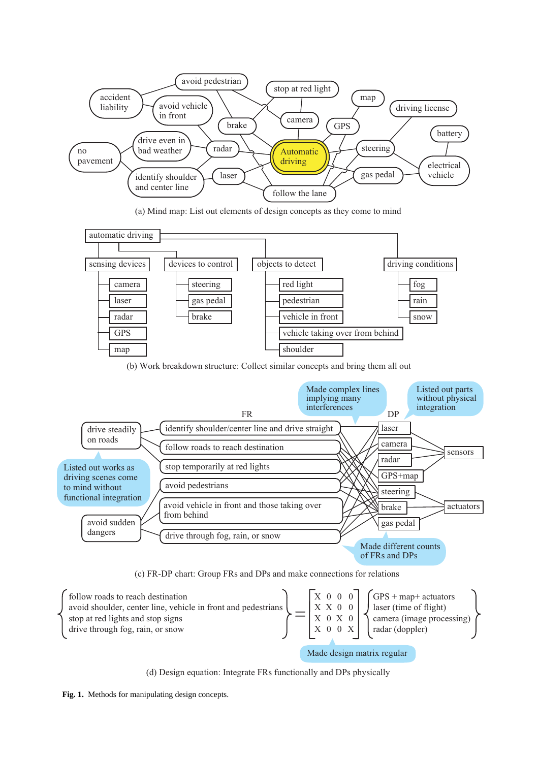

(a) Mind map: List out elements of design concepts as they come to mind



(b) Work breakdown structure: Collect similar concepts and bring them all out



(c) FR-DP chart: Group FRs and DPs and make connections for relations



(d) Design equation: Integrate FRs functionally and DPs physically

**Fig. 1.** Methods for manipulating design concepts.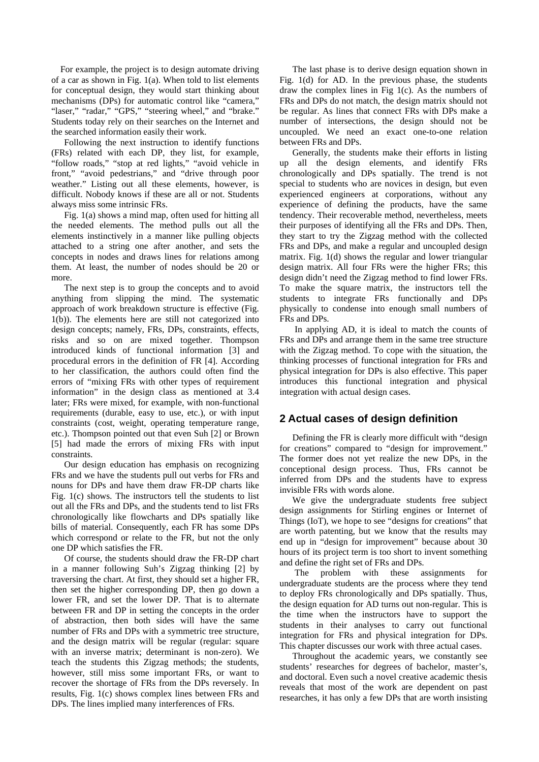For example, the project is to design automate driving of a car as shown in Fig. 1(a). When told to list elements for conceptual design, they would start thinking about mechanisms (DPs) for automatic control like "camera," "laser," "radar," "GPS," "steering wheel," and "brake." Students today rely on their searches on the Internet and the searched information easily their work.

Following the next instruction to identify functions (FRs) related with each DP, they list, for example, "follow roads," "stop at red lights," "avoid vehicle in front," "avoid pedestrians," and "drive through poor weather." Listing out all these elements, however, is difficult. Nobody knows if these are all or not. Students always miss some intrinsic FRs.

Fig. 1(a) shows a mind map, often used for hitting all the needed elements. The method pulls out all the elements instinctively in a manner like pulling objects attached to a string one after another, and sets the concepts in nodes and draws lines for relations among them. At least, the number of nodes should be 20 or more.

The next step is to group the concepts and to avoid anything from slipping the mind. The systematic approach of work breakdown structure is effective (Fig. 1(b)). The elements here are still not categorized into design concepts; namely, FRs, DPs, constraints, effects, risks and so on are mixed together. Thompson introduced kinds of functional information [3] and procedural errors in the definition of FR [4]. According to her classification, the authors could often find the errors of "mixing FRs with other types of requirement information" in the design class as mentioned at 3.4 later; FRs were mixed, for example, with non-functional requirements (durable, easy to use, etc.), or with input constraints (cost, weight, operating temperature range, etc.). Thompson pointed out that even Suh [2] or Brown [5] had made the errors of mixing FRs with input constraints.

Our design education has emphasis on recognizing FRs and we have the students pull out verbs for FRs and nouns for DPs and have them draw FR-DP charts like Fig. 1(c) shows. The instructors tell the students to list out all the FRs and DPs, and the students tend to list FRs chronologically like flowcharts and DPs spatially like bills of material. Consequently, each FR has some DPs which correspond or relate to the FR, but not the only one DP which satisfies the FR.

Of course, the students should draw the FR-DP chart in a manner following Suh's Zigzag thinking [2] by traversing the chart. At first, they should set a higher FR, then set the higher corresponding DP, then go down a lower FR, and set the lower DP. That is to alternate between FR and DP in setting the concepts in the order of abstraction, then both sides will have the same number of FRs and DPs with a symmetric tree structure, and the design matrix will be regular (regular: square with an inverse matrix; determinant is non-zero). We teach the students this Zigzag methods; the students, however, still miss some important FRs, or want to recover the shortage of FRs from the DPs reversely. In results, Fig. 1(c) shows complex lines between FRs and DPs. The lines implied many interferences of FRs.

The last phase is to derive design equation shown in Fig. 1(d) for AD. In the previous phase, the students draw the complex lines in Fig 1(c). As the numbers of FRs and DPs do not match, the design matrix should not be regular. As lines that connect FRs with DPs make a number of intersections, the design should not be uncoupled. We need an exact one-to-one relation between FRs and DPs.

Generally, the students make their efforts in listing up all the design elements, and identify FRs chronologically and DPs spatially. The trend is not special to students who are novices in design, but even experienced engineers at corporations, without any experience of defining the products, have the same tendency. Their recoverable method, nevertheless, meets their purposes of identifying all the FRs and DPs. Then, they start to try the Zigzag method with the collected FRs and DPs, and make a regular and uncoupled design matrix. Fig. 1(d) shows the regular and lower triangular design matrix. All four FRs were the higher FRs; this design didn't need the Zigzag method to find lower FRs. To make the square matrix, the instructors tell the students to integrate FRs functionally and DPs physically to condense into enough small numbers of FRs and DPs.

 In applying AD, it is ideal to match the counts of FRs and DPs and arrange them in the same tree structure with the Zigzag method. To cope with the situation, the thinking processes of functional integration for FRs and physical integration for DPs is also effective. This paper introduces this functional integration and physical integration with actual design cases.

## **2 Actual cases of design definition**

Defining the FR is clearly more difficult with "design for creations" compared to "design for improvement." The former does not yet realize the new DPs, in the conceptional design process. Thus, FRs cannot be inferred from DPs and the students have to express invisible FRs with words alone.

We give the undergraduate students free subject design assignments for Stirling engines or Internet of Things (IoT), we hope to see "designs for creations" that are worth patenting, but we know that the results may end up in "design for improvement" because about 30 hours of its project term is too short to invent something and define the right set of FRs and DPs.

The problem with these assignments for undergraduate students are the process where they tend to deploy FRs chronologically and DPs spatially. Thus, the design equation for AD turns out non-regular. This is the time when the instructors have to support the students in their analyses to carry out functional integration for FRs and physical integration for DPs. This chapter discusses our work with three actual cases.

Throughout the academic years, we constantly see students' researches for degrees of bachelor, master's, and doctoral. Even such a novel creative academic thesis reveals that most of the work are dependent on past researches, it has only a few DPs that are worth insisting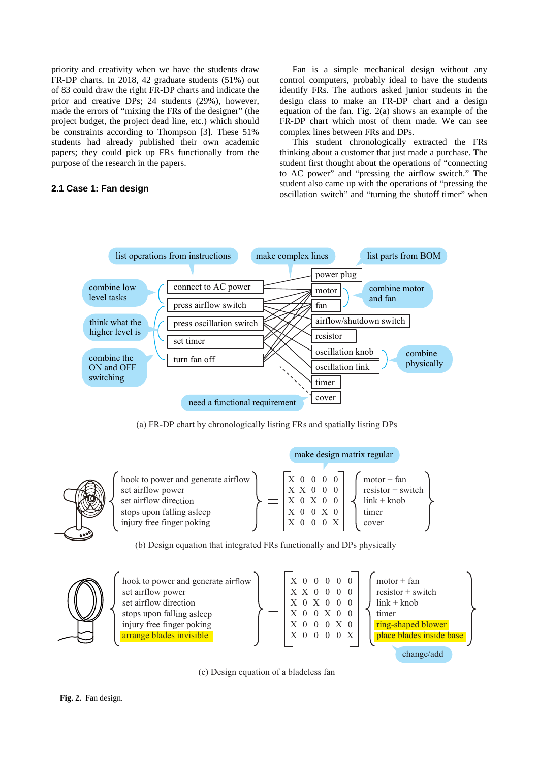priority and creativity when we have the students draw FR-DP charts. In 2018, 42 graduate students (51%) out of 83 could draw the right FR-DP charts and indicate the prior and creative DPs; 24 students (29%), however, made the errors of "mixing the FRs of the designer" (the project budget, the project dead line, etc.) which should be constraints according to Thompson [3]. These 51% students had already published their own academic papers; they could pick up FRs functionally from the purpose of the research in the papers.

#### **2.1 Case 1: Fan design**

Fan is a simple mechanical design without any control computers, probably ideal to have the students identify FRs. The authors asked junior students in the design class to make an FR-DP chart and a design equation of the fan. Fig. 2(a) shows an example of the FR-DP chart which most of them made. We can see complex lines between FRs and DPs.

This student chronologically extracted the FRs thinking about a customer that just made a purchase. The student first thought about the operations of "connecting to AC power" and "pressing the airflow switch." The student also came up with the operations of "pressing the oscillation switch" and "turning the shutoff timer" when



(a) FR-DP chart by chronologically listing FRs and spatially listing DPs



hook to power and generate airflow set airflow power set airflow direction stops upon falling asleep injury free finger poking X X X X X 0 0 X 0 0 X 0 0  $\boldsymbol{0}$  $\boldsymbol{0}$  $\boldsymbol{0}$ X 0 0 0 0 0 0 X 0  $motor + fan$ resistor + switch link + knob timer cover

make design matrix regular

(b) Design equation that integrated FRs functionally and DPs physically



(c) Design equation of a bladeless fan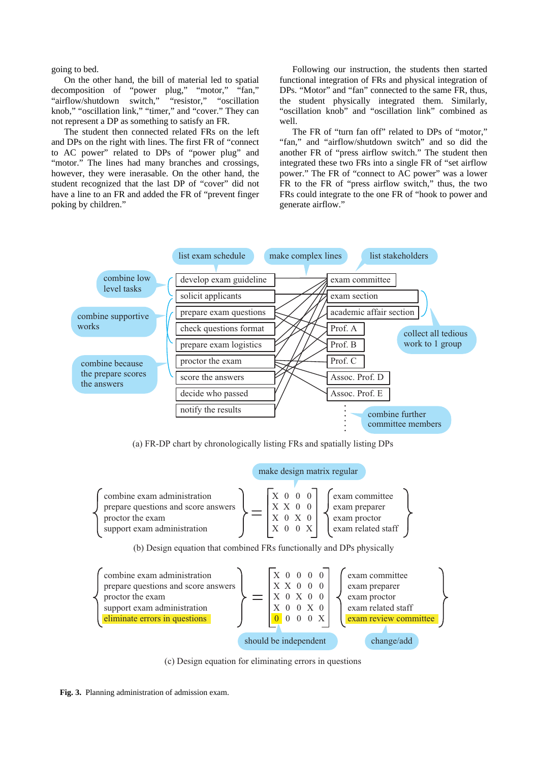going to bed.

On the other hand, the bill of material led to spatial decomposition of "power plug," "motor," "fan," "airflow/shutdown switch," "resistor," "oscillation knob," "oscillation link," "timer," and "cover." They can not represent a DP as something to satisfy an FR.

The student then connected related FRs on the left and DPs on the right with lines. The first FR of "connect to AC power" related to DPs of "power plug" and "motor." The lines had many branches and crossings, however, they were inerasable. On the other hand, the student recognized that the last DP of "cover" did not have a line to an FR and added the FR of "prevent finger poking by children."

Following our instruction, the students then started functional integration of FRs and physical integration of DPs. "Motor" and "fan" connected to the same FR, thus, the student physically integrated them. Similarly, "oscillation knob" and "oscillation link" combined as well.

The FR of "turn fan off" related to DPs of "motor," "fan," and "airflow/shutdown switch" and so did the another FR of "press airflow switch." The student then integrated these two FRs into a single FR of "set airflow power." The FR of "connect to AC power" was a lower FR to the FR of "press airflow switch," thus, the two FRs could integrate to the one FR of "hook to power and generate airflow."



(a) FR-DP chart by chronologically listing FRs and spatially listing DPs



(c) Design equation for eliminating errors in questions

**Fig. 3.** Planning administration of admission exam.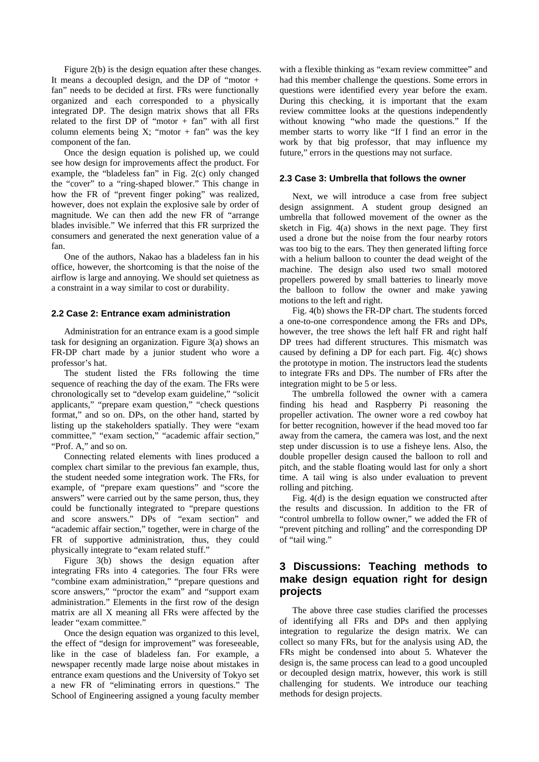Figure 2(b) is the design equation after these changes. It means a decoupled design, and the DP of "motor + fan" needs to be decided at first. FRs were functionally organized and each corresponded to a physically integrated DP. The design matrix shows that all FRs related to the first  $DP$  of "motor + fan" with all first column elements being X; "motor + fan" was the key component of the fan.

Once the design equation is polished up, we could see how design for improvements affect the product. For example, the "bladeless fan" in Fig. 2(c) only changed the "cover" to a "ring-shaped blower." This change in how the FR of "prevent finger poking" was realized, however, does not explain the explosive sale by order of magnitude. We can then add the new FR of "arrange blades invisible." We inferred that this FR surprized the consumers and generated the next generation value of a fan.

One of the authors, Nakao has a bladeless fan in his office, however, the shortcoming is that the noise of the airflow is large and annoying. We should set quietness as a constraint in a way similar to cost or durability.

#### **2.2 Case 2: Entrance exam administration**

Administration for an entrance exam is a good simple task for designing an organization. Figure 3(a) shows an FR-DP chart made by a junior student who wore a professor's hat.

The student listed the FRs following the time sequence of reaching the day of the exam. The FRs were chronologically set to "develop exam guideline," "solicit applicants," "prepare exam question," "check questions format," and so on. DPs, on the other hand, started by listing up the stakeholders spatially. They were "exam committee," "exam section," "academic affair section," "Prof. A," and so on.

Connecting related elements with lines produced a complex chart similar to the previous fan example, thus, the student needed some integration work. The FRs, for example, of "prepare exam questions" and "score the answers" were carried out by the same person, thus, they could be functionally integrated to "prepare questions and score answers." DPs of "exam section" and "academic affair section," together, were in charge of the FR of supportive administration, thus, they could physically integrate to "exam related stuff."

Figure 3(b) shows the design equation after integrating FRs into 4 categories. The four FRs were "combine exam administration," "prepare questions and score answers," "proctor the exam" and "support exam administration." Elements in the first row of the design matrix are all X meaning all FRs were affected by the leader "exam committee."

Once the design equation was organized to this level, the effect of "design for improvement" was foreseeable, like in the case of bladeless fan. For example, a newspaper recently made large noise about mistakes in entrance exam questions and the University of Tokyo set a new FR of "eliminating errors in questions." The School of Engineering assigned a young faculty member

with a flexible thinking as "exam review committee" and had this member challenge the questions. Some errors in questions were identified every year before the exam. During this checking, it is important that the exam review committee looks at the questions independently without knowing "who made the questions." If the member starts to worry like "If I find an error in the work by that big professor, that may influence my future," errors in the questions may not surface.

#### **2.3 Case 3: Umbrella that follows the owner**

Next, we will introduce a case from free subject design assignment. A student group designed an umbrella that followed movement of the owner as the sketch in Fig. 4(a) shows in the next page. They first used a drone but the noise from the four nearby rotors was too big to the ears. They then generated lifting force with a helium balloon to counter the dead weight of the machine. The design also used two small motored propellers powered by small batteries to linearly move the balloon to follow the owner and make yawing motions to the left and right.

Fig. 4(b) shows the FR-DP chart. The students forced a one-to-one correspondence among the FRs and DPs, however, the tree shows the left half FR and right half DP trees had different structures. This mismatch was caused by defining a DP for each part. Fig. 4(c) shows the prototype in motion. The instructors lead the students to integrate FRs and DPs. The number of FRs after the integration might to be 5 or less.

The umbrella followed the owner with a camera finding his head and Raspberry Pi reasoning the propeller activation. The owner wore a red cowboy hat for better recognition, however if the head moved too far away from the camera, the camera was lost, and the next step under discussion is to use a fisheye lens. Also, the double propeller design caused the balloon to roll and pitch, and the stable floating would last for only a short time. A tail wing is also under evaluation to prevent rolling and pitching.

Fig. 4(d) is the design equation we constructed after the results and discussion. In addition to the FR of "control umbrella to follow owner," we added the FR of "prevent pitching and rolling" and the corresponding DP of "tail wing."

## **3 Discussions: Teaching methods to make design equation right for design projects**

The above three case studies clarified the processes of identifying all FRs and DPs and then applying integration to regularize the design matrix. We can collect so many FRs, but for the analysis using AD, the FRs might be condensed into about 5. Whatever the design is, the same process can lead to a good uncoupled or decoupled design matrix, however, this work is still challenging for students. We introduce our teaching methods for design projects.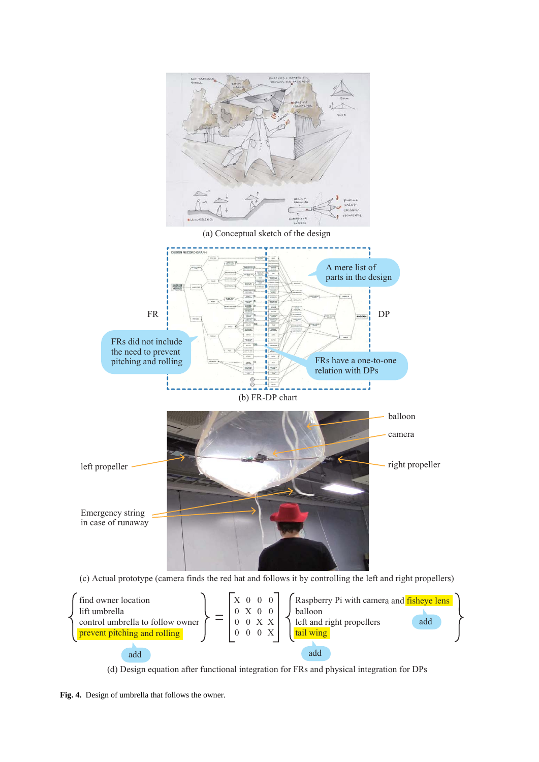



(d) Design equation after functional integration for FRs and physical integration for DPs

**Fig. 4.** Design of umbrella that follows the owner.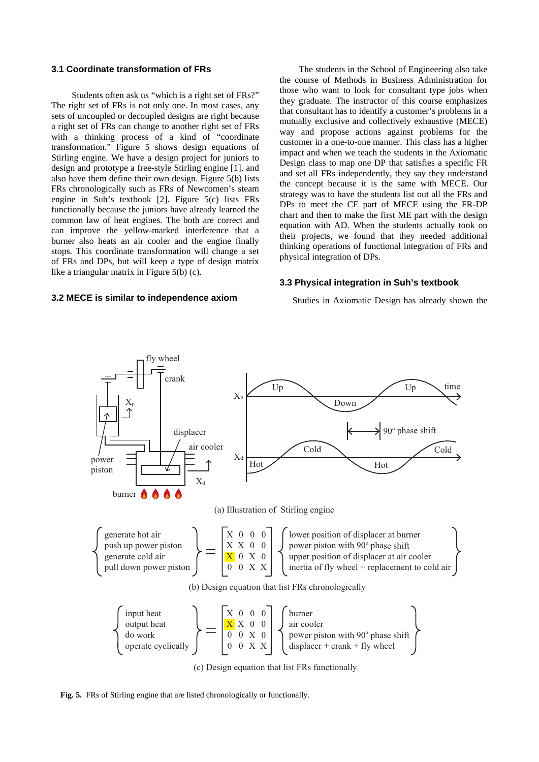#### **3.1 Coordinate transformation of FRs**

Students often ask us "which is a right set of FRs?" The right set of FRs is not only one. In most cases, any sets of uncoupled or decoupled designs are right because a right set of FRs can change to another right set of FRs with a thinking process of a kind of "coordinate transformation." Figure 5 shows design equations of Stirling engine. We have a design project for juniors to design and prototype a free-style Stirling engine [1], and also have them define their own design. Figure 5(b) lists FRs chronologically such as FRs of Newcomen's steam engine in Suh's textbook [2]. Figure 5(c) lists FRs functionally because the juniors have already learned the common law of heat engines. The both are correct and can improve the yellow-marked interference that a burner also heats an air cooler and the engine finally stops. This coordinate transformation will change a set of FRs and DPs, but will keep a type of design matrix like a triangular matrix in Figure 5(b) (c).

#### **3.2 MECE is similar to independence axiom**

The students in the School of Engineering also take the course of Methods in Business Administration for those who want to look for consultant type jobs when they graduate. The instructor of this course emphasizes that consultant has to identify a customer's problems in a mutually exclusive and collectively exhaustive (MECE) way and propose actions against problems for the customer in a one-to-one manner. This class has a higher impact and when we teach the students in the Axiomatic Design class to map one DP that satisfies a specific FR and set all FRs independently, they say they understand the concept because it is the same with MECE. Our strategy was to have the students list out all the FRs and DPs to meet the CE part of MECE using the FR-DP chart and then to make the first ME part with the design equation with AD. When the students actually took on their projects, we found that they needed additional thinking operations of functional integration of FRs and physical integration of DPs.

#### **3.3 Physical integration in Suh's textbook**

Studies in Axiomatic Design has already shown the



(c) Design equation that list FRs functionally

**Fig. 5.** FRs of Stirling engine that are listed chronologically or functionally.